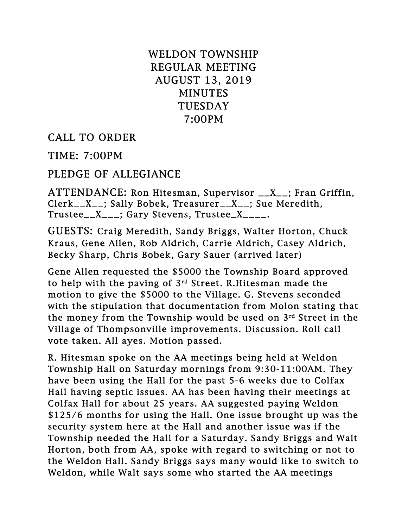## WELDON TOWNSHIP REGULAR MEETING AUGUST 13, 2019 MINUTES TUESDAY 7:00PM

CALL TO ORDER

TIME: 7:00PM

PLEDGE OF ALLEGIANCE

ATTENDANCE: Ron Hitesman, Supervisor \_\_X\_\_; Fran Griffin, Clerk\_\_X\_\_; Sally Bobek, Treasurer\_\_X\_\_; Sue Meredith, Trustee\_\_X\_\_\_; Gary Stevens, Trustee\_X\_\_\_\_.

GUESTS: Craig Meredith, Sandy Briggs, Walter Horton, Chuck Kraus, Gene Allen, Rob Aldrich, Carrie Aldrich, Casey Aldrich, Becky Sharp, Chris Bobek, Gary Sauer (arrived later)

Gene Allen requested the \$5000 the Township Board approved to help with the paving of  $3<sup>rd</sup>$  Street. R. Hitesman made the motion to give the \$5000 to the Village. G. Stevens seconded with the stipulation that documentation from Molon stating that the money from the Township would be used on 3rd Street in the Village of Thompsonville improvements. Discussion. Roll call vote taken. All ayes. Motion passed.

R. Hitesman spoke on the AA meetings being held at Weldon Township Hall on Saturday mornings from 9:30-11:00AM. They have been using the Hall for the past 5-6 weeks due to Colfax Hall having septic issues. AA has been having their meetings at Colfax Hall for about 25 years. AA suggested paying Weldon \$125/6 months for using the Hall. One issue brought up was the security system here at the Hall and another issue was if the Township needed the Hall for a Saturday. Sandy Briggs and Walt Horton, both from AA, spoke with regard to switching or not to the Weldon Hall. Sandy Briggs says many would like to switch to Weldon, while Walt says some who started the AA meetings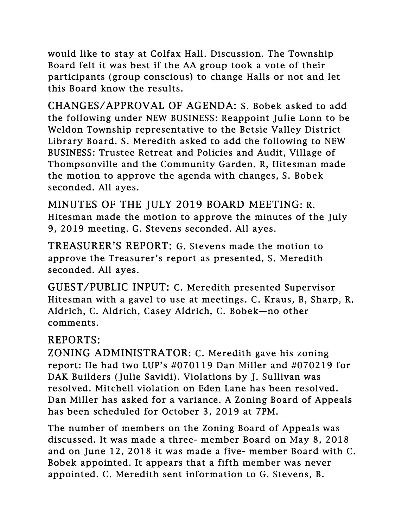would like to stay at Colfax Hall. Discussion. The Township Board felt it was best if the AA group took a vote of their participants (group conscious) to change Halls or not and let this Board know the results.

CHANGES/APPROVAL OF AGENDA: S. Bobek asked to add the following under NEW BUSINESS: Reappoint Julie Lonn to be Weldon Township representative to the Betsie Valley District Library Board. S. Meredith asked to add the following to NEW BUSINESS: Trustee Retreat and Policies and Audit, Village of Thompsonville and the Community Garden. R, Hitesman made the motion to approve the agenda with changes, S. Bobek seconded. All ayes.

MINUTES OF THE JULY 2019 BOARD MEETING: R. Hitesman made the motion to approve the minutes of the July 9, 2019 meeting. G. Stevens seconded. All ayes.

TREASURER'S REPORT: G. Stevens made the motion to approve the Treasurer's report as presented, S. Meredith seconded. All ayes.

GUEST/PUBLIC INPUT: C. Meredith presented Supervisor Hitesman with a gavel to use at meetings. C. Kraus, B, Sharp, R. Aldrich, C. Aldrich, Casey Aldrich, C. Bobek—no other comments.

## REPORTS:

ZONING ADMINISTRATOR: C. Meredith gave his zoning report: He had two LUP's  $\#070119$  Dan Miller and  $\#070219$  for DAK Builders (Julie Savidi). Violations by J. Sullivan was resolved. Mitchell violation on Eden Lane has been resolved. Dan Miller has asked for a variance. A Zoning Board of Appeals has been scheduled for October 3, 2019 at 7PM.

The number of members on the Zoning Board of Appeals was discussed. It was made a three- member Board on May 8, 2018 and on June 12, 2018 it was made a five- member Board with C. Bobek appointed. It appears that a fifth member was never appointed. C. Meredith sent information to G. Stevens, B.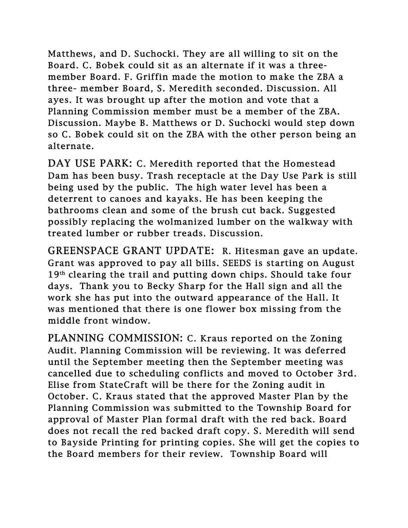Matthews, and D. Suchocki. They are all willing to sit on the Board. C. Bobek could sit as an alternate if it was a threemember Board. F. Griffin made the motion to make the ZBA a three- member Board, S. Meredith seconded. Discussion. All ayes. It was brought up after the motion and vote that a Planning Commission member must be a member of the ZBA. Discussion. Maybe B. Matthews or D. Suchocki would step down so C. Bobek could sit on the ZBA with the other person being an alternate.

DAY USE PARK: C. Meredith reported that the Homestead Dam has been busy. Trash receptacle at the Day Use Park is still being used by the public. The high water level has been a deterrent to canoes and kayaks. He has been keeping the bathrooms clean and some of the brush cut back. Suggested possibly replacing the wolmanized lumber on the walkway with treated lumber or rubber treads. Discussion.

GREENSPACE GRANT UPDATE: R. Hitesman gave an update. Grant was approved to pay all bills. SEEDS is starting on August 19<sup>th</sup> clearing the trail and putting down chips. Should take four days. Thank you to Becky Sharp for the Hall sign and all the work she has put into the outward appearance of the Hall. It was mentioned that there is one flower box missing from the middle front window.

PLANNING COMMISSION: C. Kraus reported on the Zoning Audit. Planning Commission will be reviewing. It was deferred until the September meeting then the September meeting was cancelled due to scheduling conflicts and moved to October 3rd. Elise from StateCraft will be there for the Zoning audit in October. C. Kraus stated that the approved Master Plan by the Planning Commission was submitted to the Township Board for approval of Master Plan formal draft with the red back. Board does not recall the red backed draft copy. S. Meredith will send to Bayside Printing for printing copies. She will get the copies to the Board members for their review. Township Board will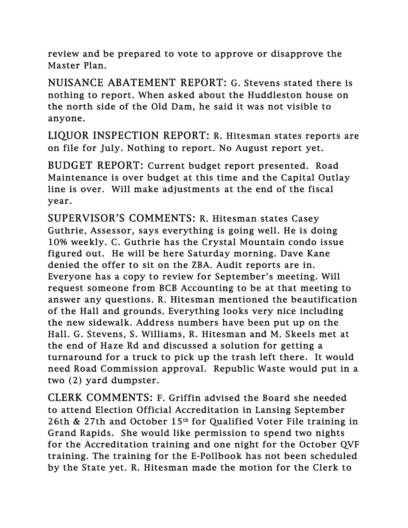review and be prepared to vote to approve or disapprove the Master Plan.

NUISANCE ABATEMENT REPORT: G. Stevens stated there is nothing to report. When asked about the Huddleston house on the north side of the Old Dam, he said it was not visible to anyone.

LIQUOR INSPECTION REPORT: R. Hitesman states reports are on file for July. Nothing to report. No August report yet.

BUDGET REPORT: Current budget report presented. Road Maintenance is over budget at this time and the Capital Outlay line is over. Will make adjustments at the end of the fiscal year.

SUPERVISOR'S COMMENTS: R. Hitesman states Casey Guthrie, Assessor, says everything is going well. He is doing 10% weekly. C. Guthrie has the Crystal Mountain condo issue figured out. He will be here Saturday morning. Dave Kane denied the offer to sit on the ZBA. Audit reports are in. Everyone has a copy to review for September's meeting. Will request someone from BCB Accounting to be at that meeting to answer any questions. R. Hitesman mentioned the beautification of the Hall and grounds. Everything looks very nice including the new sidewalk. Address numbers have been put up on the Hall. G. Stevens, S. Williams, R. Hitesman and M. Skeels met at the end of Haze Rd and discussed a solution for getting a turnaround for a truck to pick up the trash left there. It would need Road Commission approval. Republic Waste would put in a two (2) yard dumpster.

CLERK COMMENTS: F. Griffin advised the Board she needed to attend Election Official Accreditation in Lansing September 26th & 27th and October  $15<sup>th</sup>$  for Qualified Voter File training in Grand Rapids. She would like permission to spend two nights for the Accreditation training and one night for the October QVF training. The training for the E-Pollbook has not been scheduled by the State yet. R. Hitesman made the motion for the Clerk to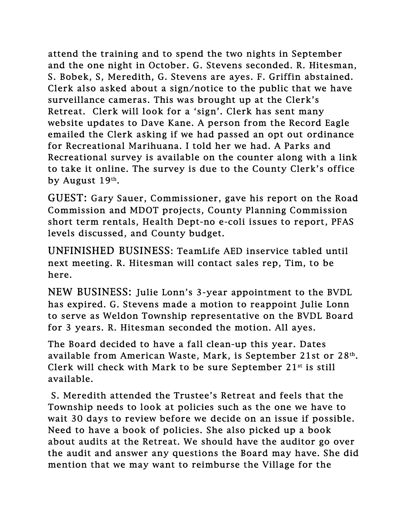attend the training and to spend the two nights in September and the one night in October. G. Stevens seconded. R. Hitesman, S. Bobek, S, Meredith, G. Stevens are ayes. F. Griffin abstained. Clerk also asked about a sign/notice to the public that we have surveillance cameras. This was brought up at the Clerk's Retreat. Clerk will look for a 'sign'. Clerk has sent many website updates to Dave Kane. A person from the Record Eagle emailed the Clerk asking if we had passed an opt out ordinance for Recreational Marihuana. I told her we had. A Parks and Recreational survey is available on the counter along with a link to take it online. The survey is due to the County Clerk's office by August  $19<sup>th</sup>$ .

GUEST: Gary Sauer, Commissioner, gave his report on the Road Commission and MDOT projects, County Planning Commission short term rentals, Health Dept-no e-coli issues to report, PFAS levels discussed, and County budget.

UNFINISHED BUSINESS: TeamLife AED inservice tabled until next meeting. R. Hitesman will contact sales rep, Tim, to be here.

NEW BUSINESS: Julie Lonn's 3-year appointment to the BVDL has expired. G. Stevens made a motion to reappoint Julie Lonn to serve as Weldon Township representative on the BVDL Board for 3 years. R. Hitesman seconded the motion. All ayes.

The Board decided to have a fall clean-up this year. Dates available from American Waste, Mark, is September 21st or 28<sup>th</sup>. Clerk will check with Mark to be sure September 21st is still available.

 S. Meredith attended the Trustee's Retreat and feels that the Township needs to look at policies such as the one we have to wait 30 days to review before we decide on an issue if possible. Need to have a book of policies. She also picked up a book about audits at the Retreat. We should have the auditor go over the audit and answer any questions the Board may have. She did mention that we may want to reimburse the Village for the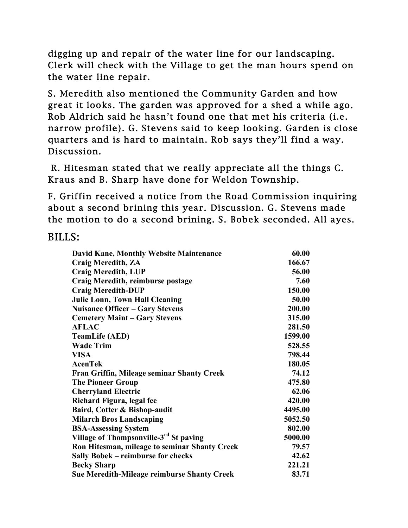digging up and repair of the water line for our landscaping. Clerk will check with the Village to get the man hours spend on the water line repair.

S. Meredith also mentioned the Community Garden and how great it looks. The garden was approved for a shed a while ago. Rob Aldrich said he hasn't found one that met his criteria (i.e. narrow profile). G. Stevens said to keep looking. Garden is close quarters and is hard to maintain. Rob says they'll find a way. Discussion.

 R. Hitesman stated that we really appreciate all the things C. Kraus and B. Sharp have done for Weldon Township.

F. Griffin received a notice from the Road Commission inquiring about a second brining this year. Discussion. G. Stevens made the motion to do a second brining. S. Bobek seconded. All ayes.

## BILLS:

| <b>David Kane, Monthly Website Maintenance</b>     | 60.00   |
|----------------------------------------------------|---------|
| <b>Craig Meredith, ZA</b>                          | 166.67  |
| <b>Craig Meredith, LUP</b>                         | 56.00   |
| Craig Meredith, reimburse postage                  | 7.60    |
| <b>Craig Meredith-DUP</b>                          | 150.00  |
| <b>Julie Lonn, Town Hall Cleaning</b>              | 50.00   |
| <b>Nuisance Officer – Gary Stevens</b>             | 200.00  |
| <b>Cemetery Maint – Gary Stevens</b>               | 315.00  |
| <b>AFLAC</b>                                       | 281.50  |
| <b>TeamLife (AED)</b>                              | 1599.00 |
| <b>Wade Trim</b>                                   | 528.55  |
| <b>VISA</b>                                        | 798.44  |
| <b>AcenTek</b>                                     | 180.05  |
| Fran Griffin, Mileage seminar Shanty Creek         | 74.12   |
| <b>The Pioneer Group</b>                           | 475.80  |
| <b>Cherryland Electric</b>                         | 62.06   |
| Richard Figura, legal fee                          | 420.00  |
| Baird, Cotter & Bishop-audit                       | 4495.00 |
| <b>Milarch Bros Landscaping</b>                    | 5052.50 |
| <b>BSA-Assessing System</b>                        | 802.00  |
| Village of Thompsonville-3 <sup>rd</sup> St paving | 5000.00 |
| Ron Hitesman, mileage to seminar Shanty Creek      | 79.57   |
| Sally Bobek – reimburse for checks                 | 42.62   |
| <b>Becky Sharp</b>                                 | 221.21  |
| <b>Sue Meredith-Mileage reimburse Shanty Creek</b> | 83.71   |